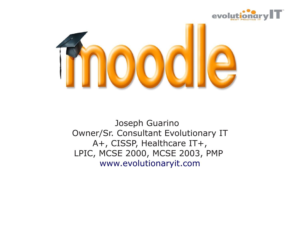



Joseph Guarino Owner/Sr. Consultant Evolutionary IT A+, CISSP, Healthcare IT+, LPIC, MCSE 2000, MCSE 2003, PMP [www.evolutionaryit.com](http://www.evolutionaryit.com/)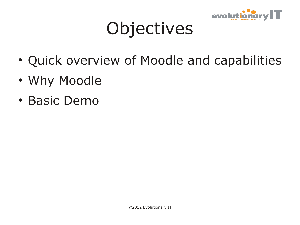

### **Objectives**

- Quick overview of Moodle and capabilities
- Why Moodle
- Basic Demo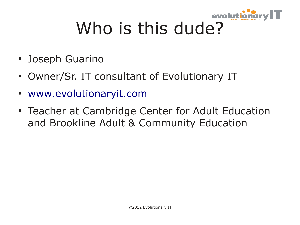

# Who is this dude?

- Joseph Guarino
- Owner/Sr. IT consultant of Evolutionary IT
- [www.evolutionaryit.com](http://www.evolutionaryit.com/)
- Teacher at Cambridge Center for Adult Education and Brookline Adult & Community Education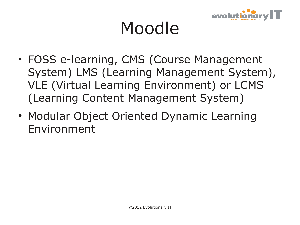

### Moodle

- FOSS e-learning, CMS (Course Management System) LMS (Learning Management System), VLE (Virtual Learning Environment) or LCMS (Learning Content Management System)
- Modular Object Oriented Dynamic Learning Environment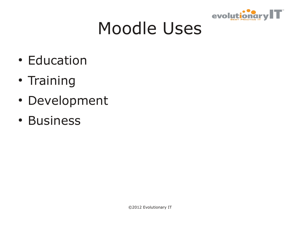

### Moodle Uses

- Education
- Training
- Development
- Business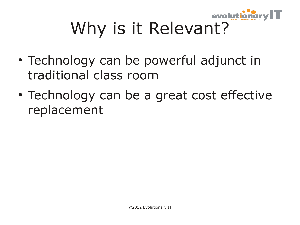

## Why is it Relevant?

- Technology can be powerful adjunct in traditional class room
- Technology can be a great cost effective replacement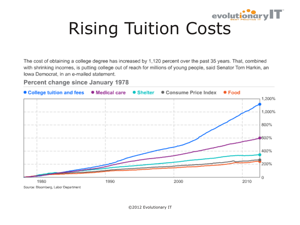

The cost of obtaining a college degree has increased by 1,120 percent over the past 35 years. That, combined with shrinking incomes, is putting college out of reach for millions of young people, said Senator Tom Harkin, an lowa Democrat, in an e-mailed statement.

#### Percent change since January 1978



Source: Bloomberg, Labor Department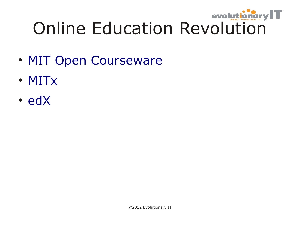

- [MIT Open Courseware](http://ocw.mit.edu/index.htm)
- [MITx](http://mitx.mit.edu/)
- [edX](https://www.edx.org/)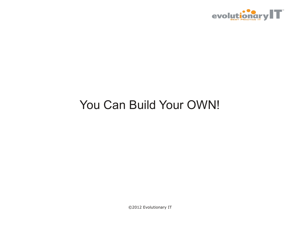

#### You Can Build Your OWN!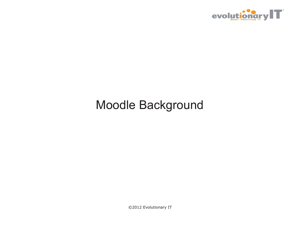

#### Moodle Background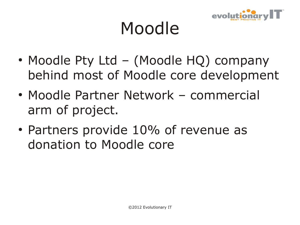

### Moodle

- Moodle Pty Ltd (Moodle HQ) company behind most of Moodle core development
- Moodle Partner Network commercial arm of project.
- Partners provide 10% of revenue as donation to Moodle core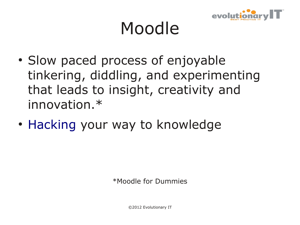

### Moodle

- Slow paced process of enjoyable tinkering, diddling, and experimenting that leads to insight, creativity and innovation.\*
- [Hacking](http://en.wikipedia.org/wiki/Hacker_(programmer_subculture)) your way to knowledge

\*Moodle for Dummies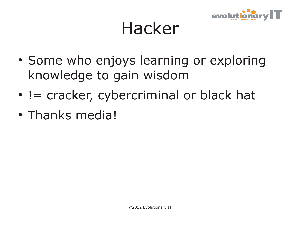

#### Hacker

- Some who enjoys learning or exploring knowledge to gain wisdom
- $\cdot$  != cracker, cybercriminal or black hat
- Thanks media!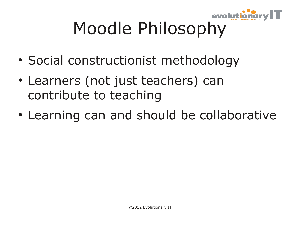

## Moodle Philosophy

- Social constructionist methodology
- Learners (not just teachers) can contribute to teaching
- Learning can and should be collaborative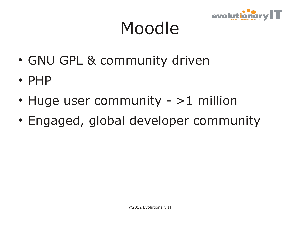

### Moodle

- GNU GPL & community driven
- PHP
- $\cdot$  Huge user community >1 million
- Engaged, global developer community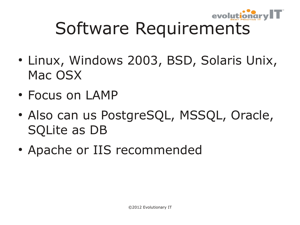

## Software Requirements

- Linux, Windows 2003, BSD, Solaris Unix, Mac OSX
- Focus on LAMP
- Also can us PostgreSQL, MSSQL, Oracle, SQLite as DB
- Apache or IIS recommended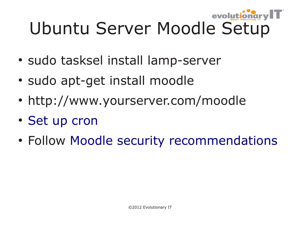#### evolut Ubuntu Server Moodle Setup

- sudo tasksel install lamp-server
- sudo apt-get install moodle
- http://www.yourserver.com/moodle
- [Set up cron](http://docs.moodle.org/23/en/Cron)
- Follow [Moodle security recommendations](http://docs.moodle.org/23/en/Security)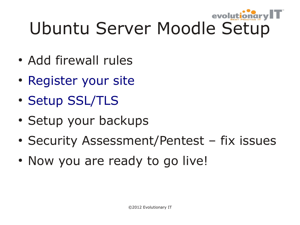#### evolu Ubuntu Server Moodle Setup

- Add firewall rules
- [Register your site](http://docs.moodle.org/23/en/Site_registration)
- [Setup SSL/TLS](http://docs.moodle.org/20/en/Apache)
- Setup your backups
- Security Assessment/Pentest fix issues
- Now you are ready to go live!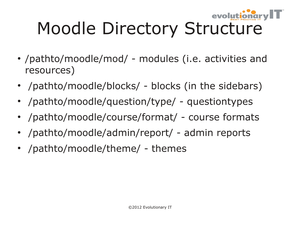

## Moodle Directory Structure

- /pathto/moodle/mod/ modules (i.e. activities and resources)
- /pathto/moodle/blocks/ blocks (in the sidebars)
- /pathto/moodle/question/type/ questiontypes
- /pathto/moodle/course/format/ course formats
- /pathto/moodle/admin/report/ admin reports
- /pathto/moodle/theme/ themes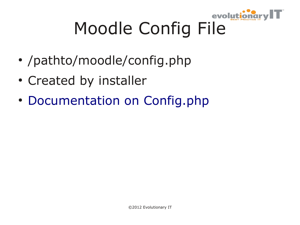

## Moodle Config File

- /pathto/moodle/config.php
- Created by installer
- [Documentation on Config.php](http://docs.moodle.org/23/en/Configuration_file)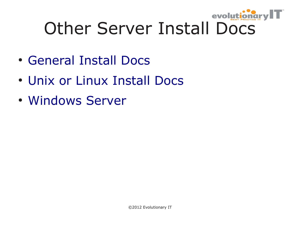

## Other Server Install Docs

- [General Install Docs](http://docs.moodle.org/22/en/Installing_Moodle)
- [Unix or Linux Install Docs](http://docs.moodle.org/22/en/Unix_or_Linux_Installation)
- [Windows Server](http://docs.moodle.org/22/en/Windows_installation)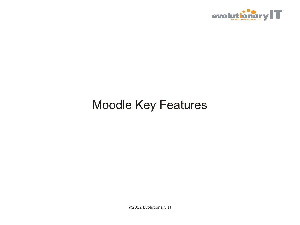

#### Moodle Key Features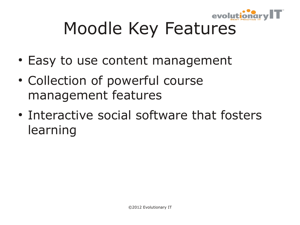

## Moodle Key Features

- Easy to use content management
- Collection of powerful course management features
- Interactive social software that fosters learning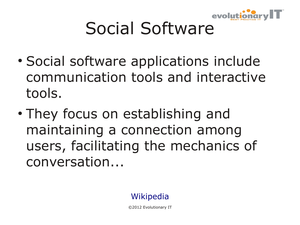

## Social Software

- Social software applications include communication tools and interactive tools.
- They focus on establishing and maintaining a connection among users, facilitating the mechanics of conversation...

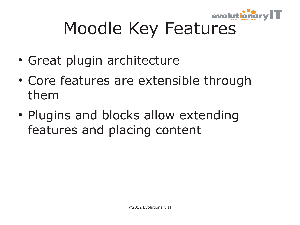

## Moodle Key Features

- Great plugin architecture
- Core features are extensible through them
- Plugins and blocks allow extending features and placing content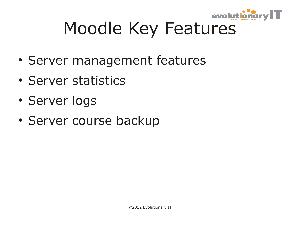

## Moodle Key Features

- Server management features
- Server statistics
- Server logs
- Server course backup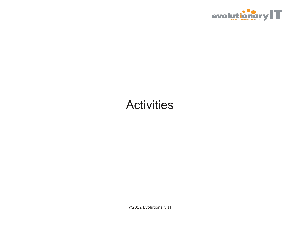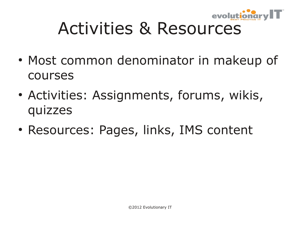

## Activities & Resources

- Most common denominator in makeup of courses
- Activities: Assignments, forums, wikis, quizzes
- Resources: Pages, links, IMS content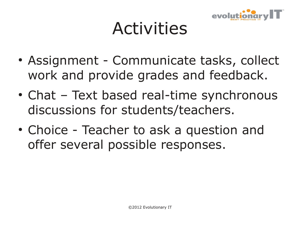

- Assignment Communicate tasks, collect work and provide grades and feedback.
- Chat Text based real-time synchronous discussions for students/teachers.
- Choice Teacher to ask a question and offer several possible responses.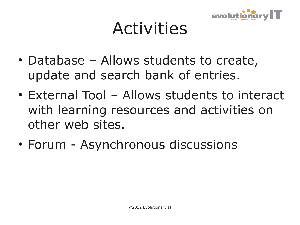

- Database Allows students to create, update and search bank of entries.
- External Tool Allows students to interact with learning resources and activities on other web sites.
- Forum Asynchronous discussions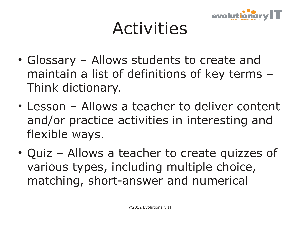

- Glossary Allows students to create and maintain a list of definitions of key terms – Think dictionary.
- Lesson Allows a teacher to deliver content and/or practice activities in interesting and flexible ways.
- Quiz Allows a teacher to create quizzes of various types, including multiple choice, matching, short-answer and numerical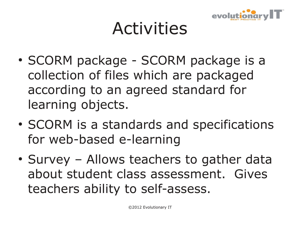

- SCORM package SCORM package is a collection of files which are packaged according to an agreed standard for learning objects.
- SCORM is a standards and specifications for web-based e-learning
- Survey Allows teachers to gather data about student class assessment. Gives teachers ability to self-assess.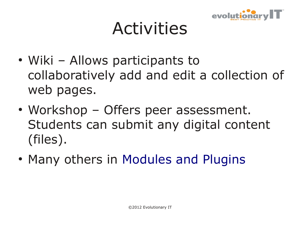

- Wiki Allows participants to collaboratively add and edit a collection of web pages.
- Workshop Offers peer assessment. Students can submit any digital content (files).
- Many others in [Modules and Plugins](http://moodle.org/plugins)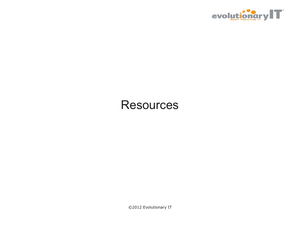

#### **Resources**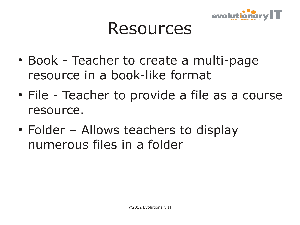

#### Resources

- Book Teacher to create a multi-page resource in a book-like format
- File Teacher to provide a file as a course resource.
- Folder Allows teachers to display numerous files in a folder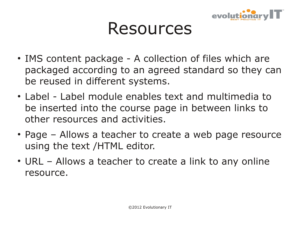

#### Resources

- IMS content package A collection of files which are packaged according to an agreed standard so they can be reused in different systems.
- Label Label module enables text and multimedia to be inserted into the course page in between links to other resources and activities.
- Page Allows a teacher to create a web page resource using the text /HTML editor.
- URL Allows a teacher to create a link to any online resource.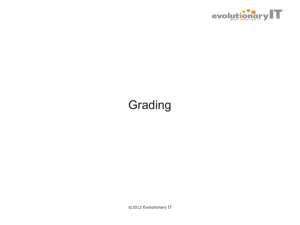

#### Grading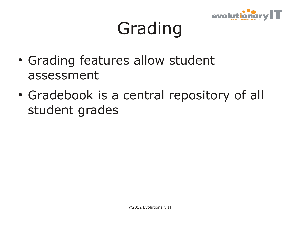

## Grading

- Grading features allow student assessment
- Gradebook is a central repository of all student grades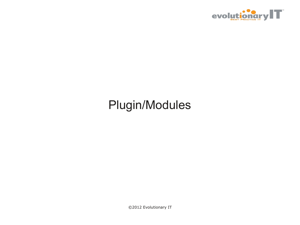

#### Plugin/Modules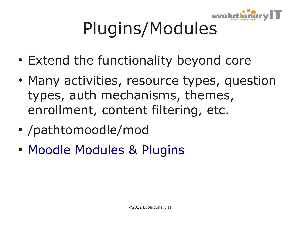

## Plugins/Modules

- Extend the functionality beyond core
- Many activities, resource types, question types, auth mechanisms, themes, enrollment, content filtering, etc.
- /pathtomoodle/mod
- [Moodle Modules & Plugins](https://moodle.org/plugins/)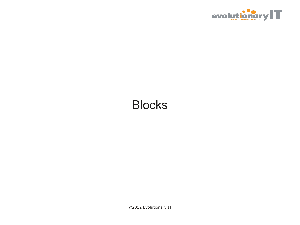

#### Blocks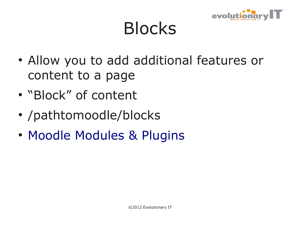

### Blocks

- Allow you to add additional features or content to a page
- "Block" of content
- /pathtomoodle/blocks
- [Moodle Modules & Plugins](https://moodle.org/plugins/)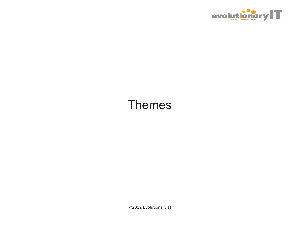

#### Themes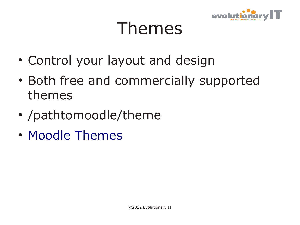

### Themes

- Control your layout and design
- Both free and commercially supported themes
- /pathtomoodle/theme
- [Moodle Themes](https://moodle.org/plugins/browse.php?list=category&id=3)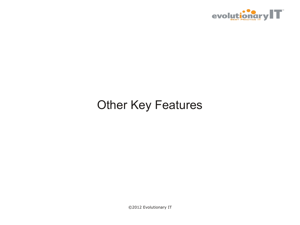

#### Other Key Features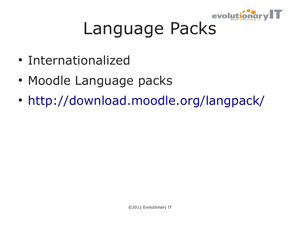

### Language Packs

- Internationalized
- Moodle Language packs
- <http://download.moodle.org/langpack/>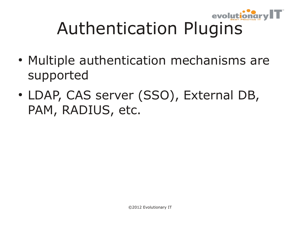

- Multiple authentication mechanisms are supported
- LDAP, CAS server (SSO), External DB, PAM, RADIUS, etc.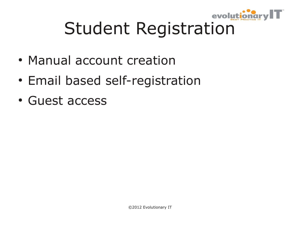

## Student Registration

- Manual account creation
- Email based self-registration
- Guest access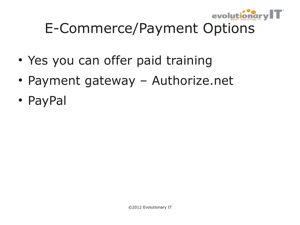

#### E-Commerce/Payment Options

- Yes you can offer paid training
- Payment gateway Authorize.net
- PayPal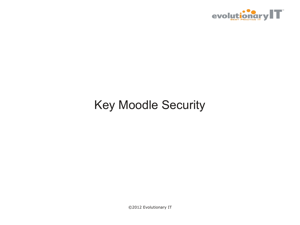

#### Key Moodle Security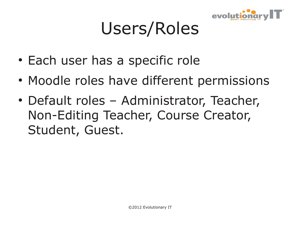

### Users/Roles

- Each user has a specific role
- Moodle roles have different permissions
- Default roles Administrator, Teacher, Non-Editing Teacher, Course Creator, Student, Guest.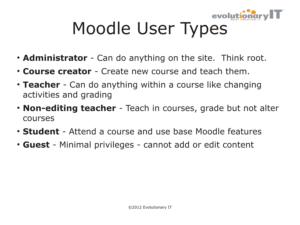

## Moodle User Types

- **Administrator** Can do anything on the site. Think root.
- **Course creator** Create new course and teach them.
- **Teacher** Can do anything within a course like changing activities and grading
- **Non-editing teacher** Teach in courses, grade but not alter courses
- **Student** Attend a course and use base Moodle features
- Guest Minimal privileges cannot add or edit content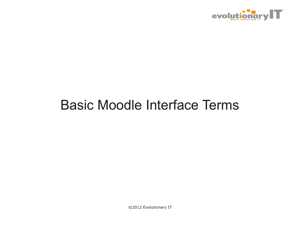

#### Basic Moodle Interface Terms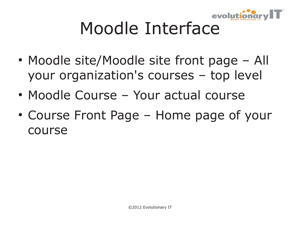

## Moodle Interface

- Moodle site/Moodle site front page All your organization's courses – top level
- Moodle Course Your actual course
- Course Front Page Home page of your course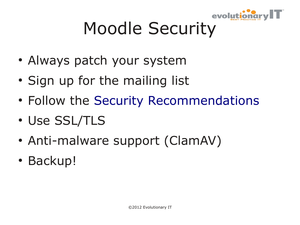

## Moodle Security

- Always patch your system
- Sign up for the mailing list
- Follow the [Security Recommendations](http://docs.moodle.org/23/en/Security_recommendations)
- Use SSL/TLS
- Anti-malware support (ClamAV)
- Backup!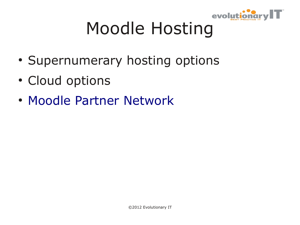

## Moodle Hosting

- Supernumerary hosting options
- Cloud options
- [Moodle Partner Network](http://moodle.com/partners/)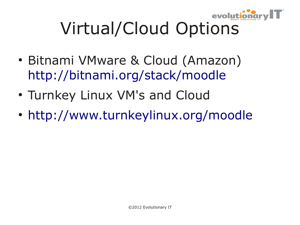

## Virtual/Cloud Options

- Bitnami VMware & Cloud (Amazon) <http://bitnami.org/stack/moodle>
- Turnkey Linux VM's and Cloud
- <http://www.turnkeylinux.org/moodle>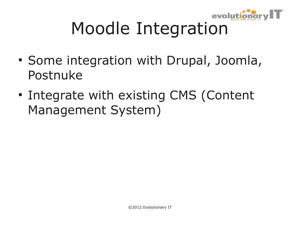

## Moodle Integration

- Some integration with Drupal, Joomla, Postnuke
- Integrate with existing CMS (Content Management System)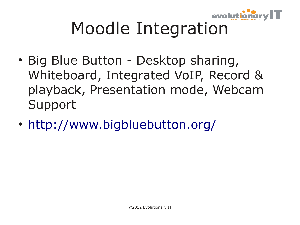

## Moodle Integration

- Big Blue Button Desktop sharing, Whiteboard, Integrated VoIP, Record & playback, Presentation mode, Webcam Support
- <http://www.bigbluebutton.org/>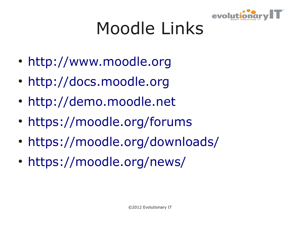

## Moodle Links

- [http://www.moodle.org](http://www.moodle.org/)
- [http://docs.moodle.org](http://docs.moodle.org/)
- [http://demo.moodle.net](http://demo.moodle.net/)
- <https://moodle.org/forums>
- <https://moodle.org/downloads/>
- <https://moodle.org/news/>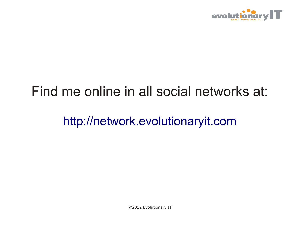

#### Find me online in all social networks at:

[http://network.evolutionaryit.com](http://network.evolutionaryit.com/)